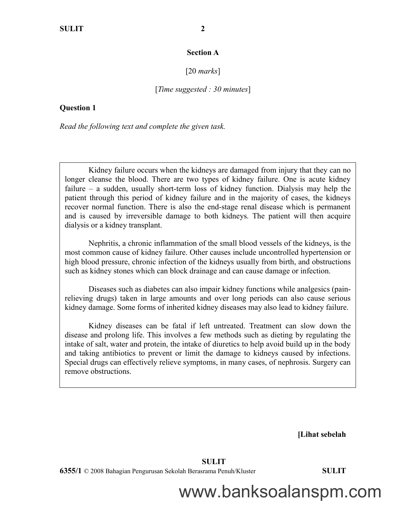## **Section A**

## [20 *marks*]

#### [*Time suggested : 30 minutes*]

## **Question 1**

*Read the following text and complete the given task.*

Kidney failure occurs when the kidneys are damaged from injury that they can no longer cleanse the blood. There are two types of kidney failure. One is acute kidney failure – a sudden, usually short-term loss of kidney function. Dialysis may help the patient through this period of kidney failure and in the majority of cases, the kidneys recover normal function. There is also the end-stage renal disease which is permanent and is caused by irreversible damage to both kidneys. The patient will then acquire dialysis or a kidney transplant.

Nephritis, a chronic inflammation of the small blood vessels of the kidneys, is the most common cause of kidney failure. Other causes include uncontrolled hypertension or high blood pressure, chronic infection of the kidneys usually from birth, and obstructions such as kidney stones which can block drainage and can cause damage or infection.

Diseases such as diabetes can also impair kidney functions while analgesics (painrelieving drugs) taken in large amounts and over long periods can also cause serious kidney damage. Some forms of inherited kidney diseases may also lead to kidney failure.

Kidney diseases can be fatal if left untreated. Treatment can slow down the disease and prolong life. This involves a few methods such as dieting by regulating the intake of salt, water and protein, the intake of diuretics to help avoid build up in the body and taking antibiotics to prevent or limit the damage to kidneys caused by infections. Special drugs can effectively relieve symptoms, in many cases, of nephrosis. Surgery can remove obstructions.

 **[Lihat sebelah**

#### **SULIT**

**6355/1** © 2008 Bahagian Pengurusan Sekolah Berasrama Penuh/Kluster **SULIT**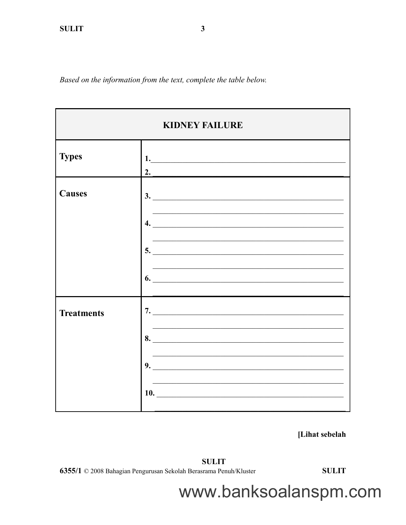Based on the information from the text, complete the table below.



[Lihat sebelah

**SULIT** 

6355/1 © 2008 Bahagian Pengurusan Sekolah Berasrama Penuh/Kluster

**SULIT**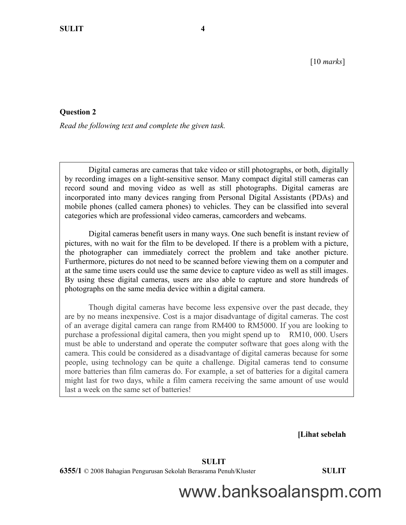## **Question 2**

*Read the following text and complete the given task.*

Digital cameras are [cameras](http://en.wikipedia.org/wiki/Camera) that take [video](http://en.wikipedia.org/wiki/Video) or still [photographs,](http://en.wikipedia.org/wiki/Photograph) or both, [digitally](http://en.wikipedia.org/wiki/Digital) by recording [images](http://en.wikipedia.org/wiki/Digital_image) on a light-sensitive sensor. Many compact digital still cameras can record [sound](http://en.wikipedia.org/wiki/Sound) and moving [video](http://en.wikipedia.org/wiki/Video) as well as still [photographs.](http://en.wikipedia.org/wiki/Photograph) Digital cameras are incorporated into many devices ranging from Personal Digital Assistants [\(PDAs\)](http://en.wikipedia.org/wiki/Personal_digital_assistant) and [mobile phones](http://en.wikipedia.org/wiki/Mobile_phone) (called [camera phones\)](http://en.wikipedia.org/wiki/Camera_phone) to vehicles. They can be classified into several categories which are [professional video cameras,](http://en.wikipedia.org/wiki/Professional_video_camera) [camcorders](http://en.wikipedia.org/wiki/Camcorder) and [webcams.](http://en.wikipedia.org/wiki/Webcam)

Digital cameras benefit users in many ways. One such benefit is instant review of pictures, with no wait for the film to be developed. If there is a problem with a picture, the photographer can immediately correct the problem and take another picture. Furthermore, pictures do not need to be scanned before viewing them on a computer and at the same time users could use the same device to capture video as well as still images. By using these digital cameras, users are also able to capture and store hundreds of photographs on the same media device within a digital camera.

Though digital cameras have become less expensive over the past decade, they are by no means inexpensive. Cost is a major disadvantage of digital cameras. The cost of an average digital camera can range from RM400 to RM5000. If you are looking to purchase a professional digital camera, then you might spend up to RM10, 000. Users must be able to understand and operate the computer software that goes along with the camera. This could be considered as a disadvantage of digital cameras because for some people, using technology can be quite a challenge. Digital cameras tend to consume more batteries than film cameras do. For example, a set of batteries for a digital camera might last for two days, while a film camera receiving the same amount of use would last a week on the same set of batteries!

 **[Lihat sebelah**

 **SULIT**

**6355/1** © 2008 Bahagian Pengurusan Sekolah Berasrama Penuh/Kluster **SULIT**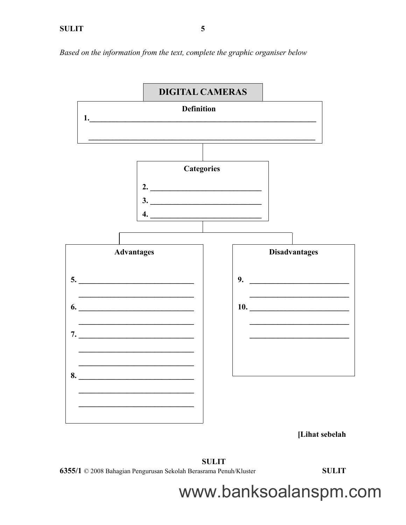Based on the information from the text, complete the graphic organiser below



[Lihat sebelah

**SULIT** 6355/1 © 2008 Bahagian Pengurusan Sekolah Berasrama Penuh/Kluster

**SULIT**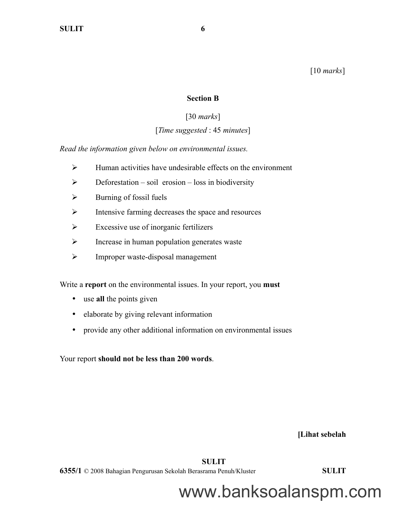[10 *marks*]

## **Section B**

## [30 *marks*]

# [*Time suggested* : 45 *minutes*]

*Read the information given below on environmental issues.*

- $\triangleright$  Human activities have undesirable effects on the environment
- $\triangleright$  Deforestation soil erosion loss in biodiversity
- $\triangleright$  Burning of fossil fuels
- $\triangleright$  Intensive farming decreases the space and resources
- $\triangleright$  Excessive use of inorganic fertilizers
- $\triangleright$  Increase in human population generates waste
- > Improper waste-disposal management

Write a **report** on the environmental issues. In your report, you **must**

- use **all** the points given
- elaborate by giving relevant information
- provide any other additional information on environmental issues

Your report **should not be less than 200 words**.

 **[Lihat sebelah**

 **SULIT**

**6355/1** © 2008 Bahagian Pengurusan Sekolah Berasrama Penuh/Kluster **SULIT**